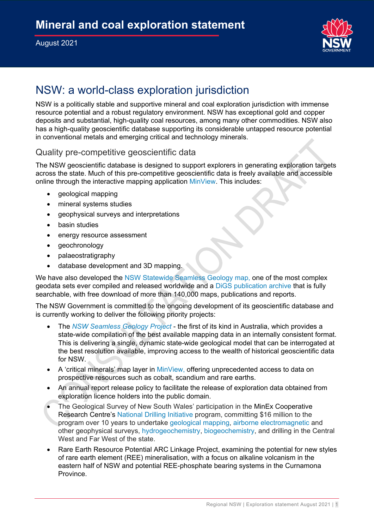

# NSW: a world-class exploration jurisdiction

NSW is a politically stable and supportive mineral and coal exploration jurisdiction with immense resource potential and a robust regulatory environment. NSW has exceptional gold and copper deposits and substantial, high-quality coal resources, among many other commodities. NSW also has a high-quality geoscientific database supporting its considerable untapped resource potential in conventional metals and emerging critical and technology minerals.

#### Quality pre-competitive geoscientific data

The NSW geoscientific database is designed to support explorers in generating exploration targets across the state. Much of this pre-competitive geoscientific data is freely available and accessible online through the interactive mapping application [MinView.](https://www.regional.nsw.gov.au/meg/geoscience/minview) This includes:

- geological mapping
- mineral systems studies
- geophysical surveys and interpretations
- basin studies
- energy resource assessment
- geochronology
- palaeostratigraphy
- database development and 3D mapping.

We have also developed the [NSW Statewide Seamless Geology map,](https://www.regional.nsw.gov.au/meg/geoscience/projects/seamless-geology-project) one of the most complex geodata sets ever compiled and released worldwide and a [DiGS publication archive](https://www.regional.nsw.gov.au/meg/geoscience/digs) that is fully searchable, with free download of more than 140,000 maps, publications and reports.

The NSW Government is committed to the ongoing development of its geoscientific database and is currently working to deliver the following priority projects:

- The *[NSW Seamless Geology Project](https://www.regional.nsw.gov.au/meg/geoscience/projects/seamless-geology-project)* the first of its kind in Australia, which provides a state-wide compilation of the best available mapping data in an internally consistent format. This is delivering a single, dynamic state-wide geological model that can be interrogated at the best resolution available, improving access to the wealth of historical geoscientific data for NSW.
- A 'critical minerals' map layer in [MinView,](https://www.regional.nsw.gov.au/meg/geoscience/minview) offering unprecedented access to data on prospective resources such as cobalt, scandium and rare earths.
- An annual report release policy to facilitate the release of exploration data obtained from exploration licence holders into the public domain.
- The Geological Survey of New South Wales' participation in the MinEx Cooperative Research Centre's [National Drilling Initiative](https://minexcrc.com.au/program-three-national-drilling-initiative/) program, committing \$16 million to the program over 10 years to undertake [geological mapping,](https://www.regional.nsw.gov.au/meg/geoscience/minexcrc/geological-mapping) [airborne electromagnetic](https://www.regional.nsw.gov.au/meg/geoscience/minexcrc/airborne-electromagnetic-surveys) and other geophysical surveys, [hydrogeochemistry,](https://www.regional.nsw.gov.au/meg/geoscience/minexcrc/hydrogeochemistry) [biogeochemistry,](https://www.regional.nsw.gov.au/meg/geoscience/minexcrc/biogeochemistry) and drilling in the Central West and Far West of the state.
- Rare Earth Resource Potential ARC Linkage Project, examining the potential for new styles of rare earth element (REE) mineralisation, with a focus on alkaline volcanism in the eastern half of NSW and potential REE-phosphate bearing systems in the Curnamona Province.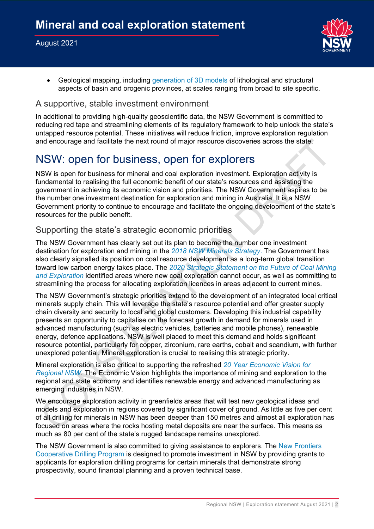

• Geological mapping, including [generation of 3D models](https://www.regional.nsw.gov.au/meg/geoscience/projects/3d-mapping-of-nsw) of lithological and structural aspects of basin and orogenic provinces, at scales ranging from broad to site specific.

#### A supportive, stable investment environment

In additional to providing high-quality geoscientific data, the NSW Government is committed to reducing red tape and streamlining elements of its regulatory framework to help unlock the state's untapped resource potential. These initiatives will reduce friction, improve exploration regulation and encourage and facilitate the next round of major resource discoveries across the state.

### NSW: open for business, open for explorers

NSW is open for business for mineral and coal exploration investment. Exploration activity is fundamental to realising the full economic benefit of our state's resources and assisting the government in achieving its economic vision and priorities. The NSW Government aspires to be the number one investment destination for exploration and mining in Australia. It is a NSW Government priority to continue to encourage and facilitate the ongoing development of the state's resources for the public benefit.

#### Supporting the state's strategic economic priorities

The NSW Government has clearly set out its plan to become the number one investment destination for exploration and mining in the *[2018 NSW Minerals Strategy](https://www.regional.nsw.gov.au/meg/exploring-and-mining/titles-management-system/nsw-minerals-strategy)*. The Government has also clearly signalled its position on coal resource development as a long-term global transition toward low carbon energy takes place. The *[2020 Strategic Statement on the Future of Coal Mining](https://www.regional.nsw.gov.au/__data/assets/pdf_file/0004/1236973/Strategic-Statement-on-Coal-Exploration-and-Mining-in-NSW.pdf)  [and Exploration](https://www.regional.nsw.gov.au/__data/assets/pdf_file/0004/1236973/Strategic-Statement-on-Coal-Exploration-and-Mining-in-NSW.pdf)* identified areas where new coal exploration cannot occur, as well as committing to streamlining the process for allocating exploration licences in areas adjacent to current mines.

The NSW Government's strategic priorities extend to the development of an integrated local critical minerals supply chain. This will leverage the state's resource potential and offer greater supply chain diversity and security to local and global customers. Developing this industrial capability presents an opportunity to capitalise on the forecast growth in demand for minerals used in advanced manufacturing (such as electric vehicles, batteries and mobile phones), renewable energy, defence applications. NSW is well placed to meet this demand and holds significant resource potential, particularly for copper, zirconium, rare earths, cobalt and scandium, with further unexplored potential. Mineral exploration is crucial to realising this strategic priority.

Mineral exploration is also critical to supporting the refreshed *[20 Year Economic Vision for](https://www.nsw.gov.au/a-20-year-economic-vision-for-regional-nsw-refresh)  [Regional NSW](https://www.nsw.gov.au/a-20-year-economic-vision-for-regional-nsw-refresh)*. The Economic Vision highlights the importance of mining and exploration to the regional and state economy and identifies renewable energy and advanced manufacturing as emerging industries in NSW.

We encourage exploration activity in greenfields areas that will test new geological ideas and models and exploration in regions covered by significant cover of ground. As little as five per cent of all drilling for minerals in NSW has been deeper than 150 metres and almost all exploration has focused on areas where the rocks hosting metal deposits are near the surface. This means as much as 80 per cent of the state's rugged landscape remains unexplored.

The NSW Government is also committed to giving assistance to explorers. The [New Frontiers](https://www.regional.nsw.gov.au/meg/geoscience/new-frontiers-cooperative-drilling)  [Cooperative Drilling Program](https://www.regional.nsw.gov.au/meg/geoscience/new-frontiers-cooperative-drilling) is designed to promote investment in NSW by providing grants to applicants for exploration drilling programs for certain minerals that demonstrate strong prospectivity, sound financial planning and a proven technical base.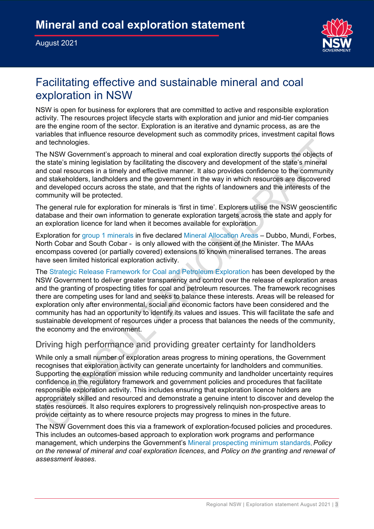#### August 2021



# Facilitating effective and sustainable mineral and coal exploration in NSW

NSW is open for business for explorers that are committed to active and responsible exploration activity. The resources project lifecycle starts with exploration and junior and mid-tier companies are the engine room of the sector. Exploration is an iterative and dynamic process, as are the variables that influence resource development such as commodity prices, investment capital flows and technologies.

The NSW Government's approach to mineral and coal exploration directly supports the objects of the state's mining legislation by facilitating the discovery and development of the state's mineral and coal resources in a timely and effective manner. It also provides confidence to the community and stakeholders, landholders and the government in the way in which resources are discovered and developed occurs across the state, and that the rights of landowners and the interests of the community will be protected.

The general rule for exploration for minerals is 'first in time'. Explorers utilise the NSW geoscientific database and their own information to generate exploration targets across the state and apply for an exploration licence for land when it becomes available for exploration.

Exploration for [group 1 minerals](https://legislation.nsw.gov.au/view/html/inforce/current/sl-2016-0498#sch.2) in five declared [Mineral Allocation Areas](https://www.regional.nsw.gov.au/meg/geoscience/minview/mineral-allocation-areas) – Dubbo, Mundi, Forbes, North Cobar and South Cobar - is only allowed with the consent of the Minister. The MAAs encompass covered (or partially covered) extensions to known mineralised terranes. The areas have seen limited historical exploration activity.

The [Strategic Release Framework for Coal and Petroleum Exploration](https://www.regional.nsw.gov.au/__data/assets/pdf_file/0004/1236973/Strategic-Statement-on-Coal-Exploration-and-Mining-in-NSW.pdf) has been developed by the NSW Government to deliver greater transparency and control over the release of exploration areas and the granting of prospecting titles for coal and petroleum resources. The framework recognises there are competing uses for land and seeks to balance these interests. Areas will be released for exploration only after environmental, social and economic factors have been considered and the community has had an opportunity to identify its values and issues. This will facilitate the safe and sustainable development of resources under a process that balances the needs of the community, the economy and the environment.

### Driving high performance and providing greater certainty for landholders

While only a small number of exploration areas progress to mining operations, the Government recognises that exploration activity can generate uncertainty for landholders and communities. Supporting the exploration mission while reducing community and landholder uncertainty requires confidence in the regulatory framework and government policies and procedures that facilitate responsible exploration activity. This includes ensuring that exploration licence holders are appropriately skilled and resourced and demonstrate a genuine intent to discover and develop the states resources. It also requires explorers to progressively relinquish non-prospective areas to provide certainty as to where resource projects may progress to mines in the future.

The NSW Government does this via a framework of exploration-focused policies and procedures. This includes an outcomes-based approach to exploration work programs and performance management, which underpins the Government's [Mineral prospecting minimum standards,](https://www.regional.nsw.gov.au/__data/assets/pdf_file/0003/1242930/Mineral-prospecting-minimum-standards.pdf) *Policy on the renewal of mineral and coal exploration licences*, and *Policy on the granting and renewal of assessment leases*.